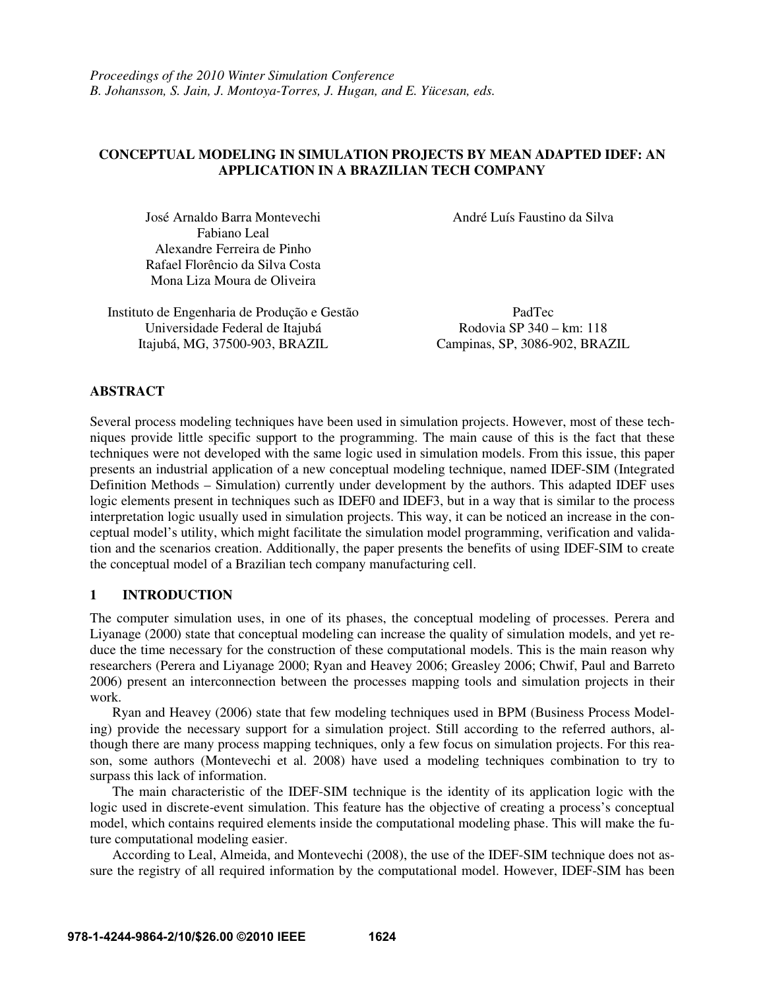### **CONCEPTUAL MODELING IN SIMULATION PROJECTS BY MEAN ADAPTED IDEF: AN APPLICATION IN A BRAZILIAN TECH COMPANY**

José Arnaldo Barra Montevechi **André Luís Faustino da Silva** Fabiano Leal Alexandre Ferreira de Pinho Rafael Florêncio da Silva Costa Mona Liza Moura de Oliveira

Instituto de Engenharia de Produção e Gestão PadTec Universidade Federal de Itajubá Rodovia SP 340 – km: 118 Itajubá, MG, 37500-903, BRAZIL Campinas, SP, 3086-902, BRAZIL

## **ABSTRACT**

Several process modeling techniques have been used in simulation projects. However, most of these techniques provide little specific support to the programming. The main cause of this is the fact that these techniques were not developed with the same logic used in simulation models. From this issue, this paper presents an industrial application of a new conceptual modeling technique, named IDEF-SIM (Integrated Definition Methods – Simulation) currently under development by the authors. This adapted IDEF uses logic elements present in techniques such as IDEF0 and IDEF3, but in a way that is similar to the process interpretation logic usually used in simulation projects. This way, it can be noticed an increase in the conceptual model's utility, which might facilitate the simulation model programming, verification and validation and the scenarios creation. Additionally, the paper presents the benefits of using IDEF-SIM to create the conceptual model of a Brazilian tech company manufacturing cell.

### **1 INTRODUCTION**

The computer simulation uses, in one of its phases, the conceptual modeling of processes. Perera and Liyanage (2000) state that conceptual modeling can increase the quality of simulation models, and yet reduce the time necessary for the construction of these computational models. This is the main reason why researchers (Perera and Liyanage 2000; Ryan and Heavey 2006; Greasley 2006; Chwif, Paul and Barreto 2006) present an interconnection between the processes mapping tools and simulation projects in their work.

Ryan and Heavey (2006) state that few modeling techniques used in BPM (Business Process Modeling) provide the necessary support for a simulation project. Still according to the referred authors, although there are many process mapping techniques, only a few focus on simulation projects. For this reason, some authors (Montevechi et al. 2008) have used a modeling techniques combination to try to surpass this lack of information.

The main characteristic of the IDEF-SIM technique is the identity of its application logic with the logic used in discrete-event simulation. This feature has the objective of creating a process's conceptual model, which contains required elements inside the computational modeling phase. This will make the future computational modeling easier.

According to Leal, Almeida, and Montevechi (2008), the use of the IDEF-SIM technique does not assure the registry of all required information by the computational model. However, IDEF-SIM has been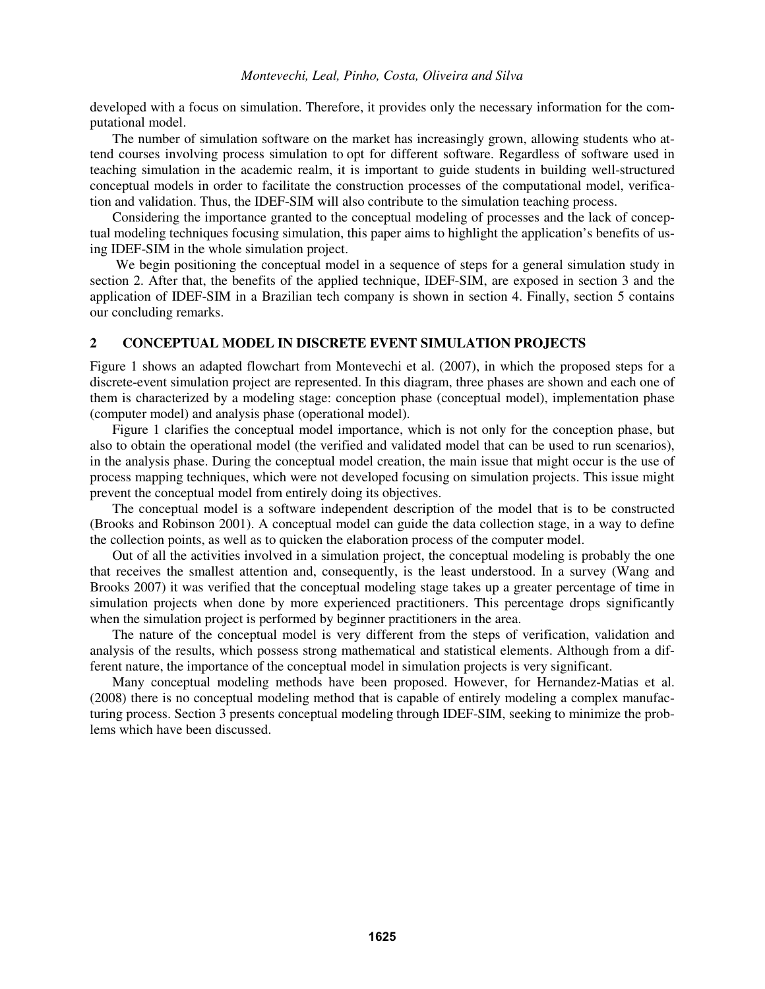developed with a focus on simulation. Therefore, it provides only the necessary information for the computational model.

The number of simulation software on the market has increasingly grown, allowing students who attend courses involving process simulation to opt for different software. Regardless of software used in teaching simulation in the academic realm, it is important to guide students in building well-structured conceptual models in order to facilitate the construction processes of the computational model, verification and validation. Thus, the IDEF-SIM will also contribute to the simulation teaching process.

Considering the importance granted to the conceptual modeling of processes and the lack of conceptual modeling techniques focusing simulation, this paper aims to highlight the application's benefits of using IDEF-SIM in the whole simulation project.

 We begin positioning the conceptual model in a sequence of steps for a general simulation study in section 2. After that, the benefits of the applied technique, IDEF-SIM, are exposed in section 3 and the application of IDEF-SIM in a Brazilian tech company is shown in section 4. Finally, section 5 contains our concluding remarks.

### **2 CONCEPTUAL MODEL IN DISCRETE EVENT SIMULATION PROJECTS**

Figure 1 shows an adapted flowchart from Montevechi et al. (2007), in which the proposed steps for a discrete-event simulation project are represented. In this diagram, three phases are shown and each one of them is characterized by a modeling stage: conception phase (conceptual model), implementation phase (computer model) and analysis phase (operational model).

Figure 1 clarifies the conceptual model importance, which is not only for the conception phase, but also to obtain the operational model (the verified and validated model that can be used to run scenarios), in the analysis phase. During the conceptual model creation, the main issue that might occur is the use of process mapping techniques, which were not developed focusing on simulation projects. This issue might prevent the conceptual model from entirely doing its objectives.

The conceptual model is a software independent description of the model that is to be constructed (Brooks and Robinson 2001). A conceptual model can guide the data collection stage, in a way to define the collection points, as well as to quicken the elaboration process of the computer model.

Out of all the activities involved in a simulation project, the conceptual modeling is probably the one that receives the smallest attention and, consequently, is the least understood. In a survey (Wang and Brooks 2007) it was verified that the conceptual modeling stage takes up a greater percentage of time in simulation projects when done by more experienced practitioners. This percentage drops significantly when the simulation project is performed by beginner practitioners in the area.

The nature of the conceptual model is very different from the steps of verification, validation and analysis of the results, which possess strong mathematical and statistical elements. Although from a different nature, the importance of the conceptual model in simulation projects is very significant.

Many conceptual modeling methods have been proposed. However, for Hernandez-Matias et al. (2008) there is no conceptual modeling method that is capable of entirely modeling a complex manufacturing process. Section 3 presents conceptual modeling through IDEF-SIM, seeking to minimize the problems which have been discussed.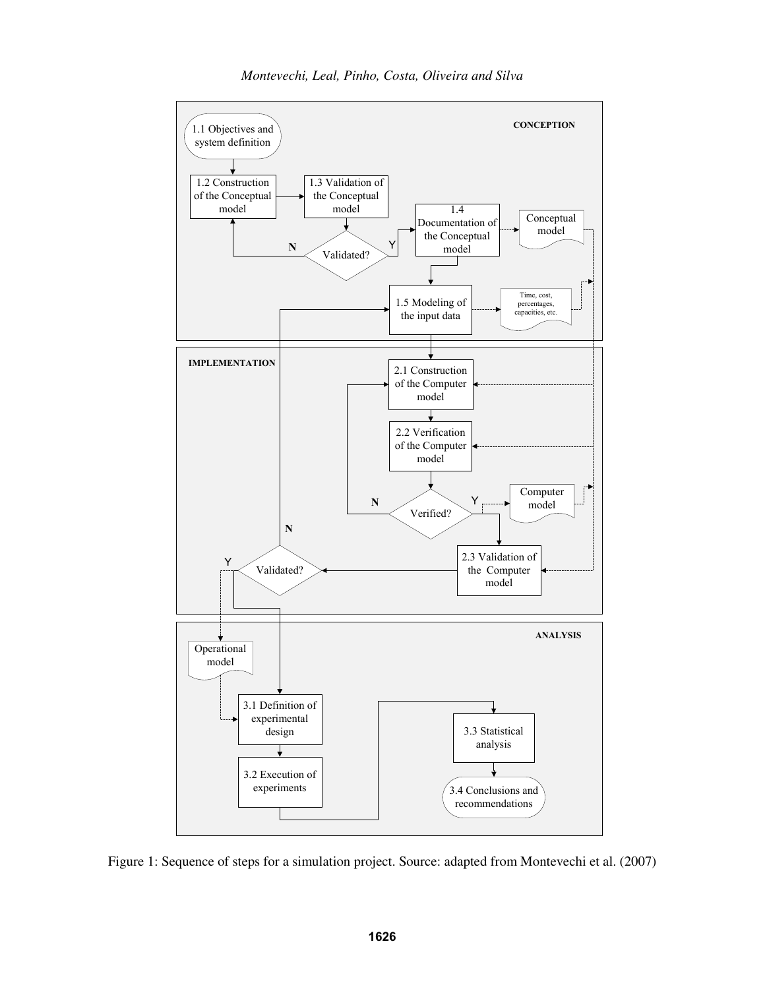



Figure 1: Sequence of steps for a simulation project. Source: adapted from Montevechi et al. (2007)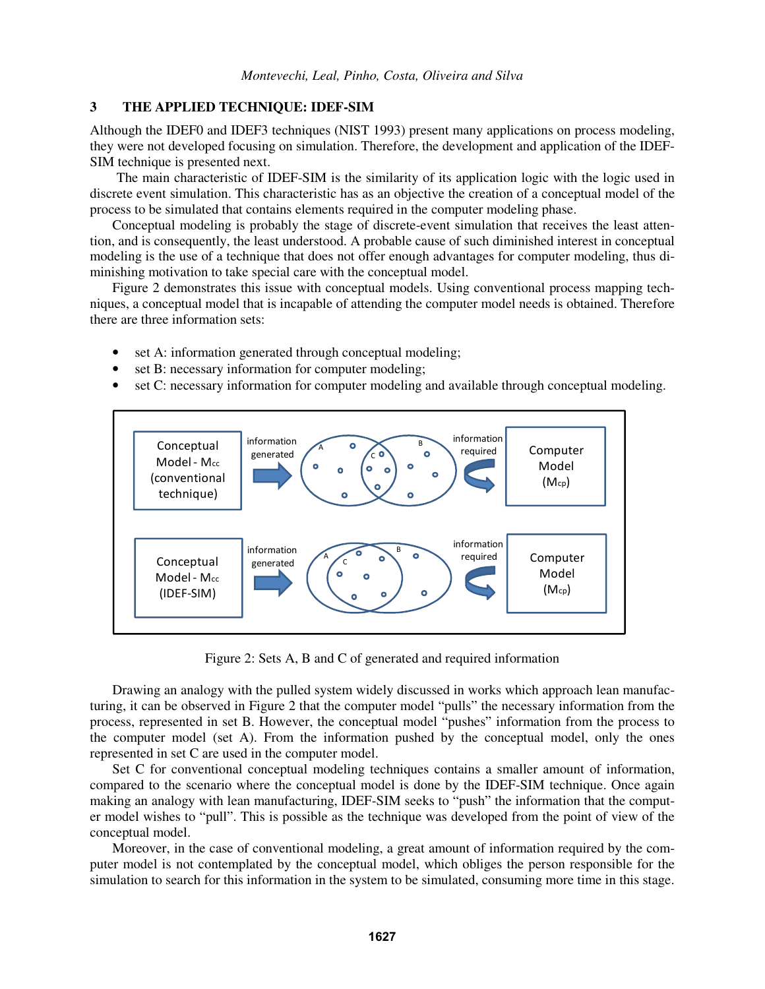#### **3 THE APPLIED TECHNIQUE: IDEF-SIM**

Although the IDEF0 and IDEF3 techniques (NIST 1993) present many applications on process modeling, they were not developed focusing on simulation. Therefore, the development and application of the IDEF-SIM technique is presented next.

The main characteristic of IDEF-SIM is the similarity of its application logic with the logic used in discrete event simulation. This characteristic has as an objective the creation of a conceptual model of the process to be simulated that contains elements required in the computer modeling phase.

Conceptual modeling is probably the stage of discrete-event simulation that receives the least attention, and is consequently, the least understood. A probable cause of such diminished interest in conceptual modeling is the use of a technique that does not offer enough advantages for computer modeling, thus diminishing motivation to take special care with the conceptual model.

Figure 2 demonstrates this issue with conceptual models. Using conventional process mapping techniques, a conceptual model that is incapable of attending the computer model needs is obtained. Therefore there are three information sets:

- set A: information generated through conceptual modeling;
- set B: necessary information for computer modeling;
- set C: necessary information for computer modeling and available through conceptual modeling.



Figure 2: Sets A, B and C of generated and required information

Drawing an analogy with the pulled system widely discussed in works which approach lean manufacturing, it can be observed in Figure 2 that the computer model "pulls" the necessary information from the process, represented in set B. However, the conceptual model "pushes" information from the process to the computer model (set A). From the information pushed by the conceptual model, only the ones represented in set C are used in the computer model.

Set C for conventional conceptual modeling techniques contains a smaller amount of information, compared to the scenario where the conceptual model is done by the IDEF-SIM technique. Once again making an analogy with lean manufacturing, IDEF-SIM seeks to "push" the information that the computer model wishes to "pull". This is possible as the technique was developed from the point of view of the conceptual model.

Moreover, in the case of conventional modeling, a great amount of information required by the computer model is not contemplated by the conceptual model, which obliges the person responsible for the simulation to search for this information in the system to be simulated, consuming more time in this stage.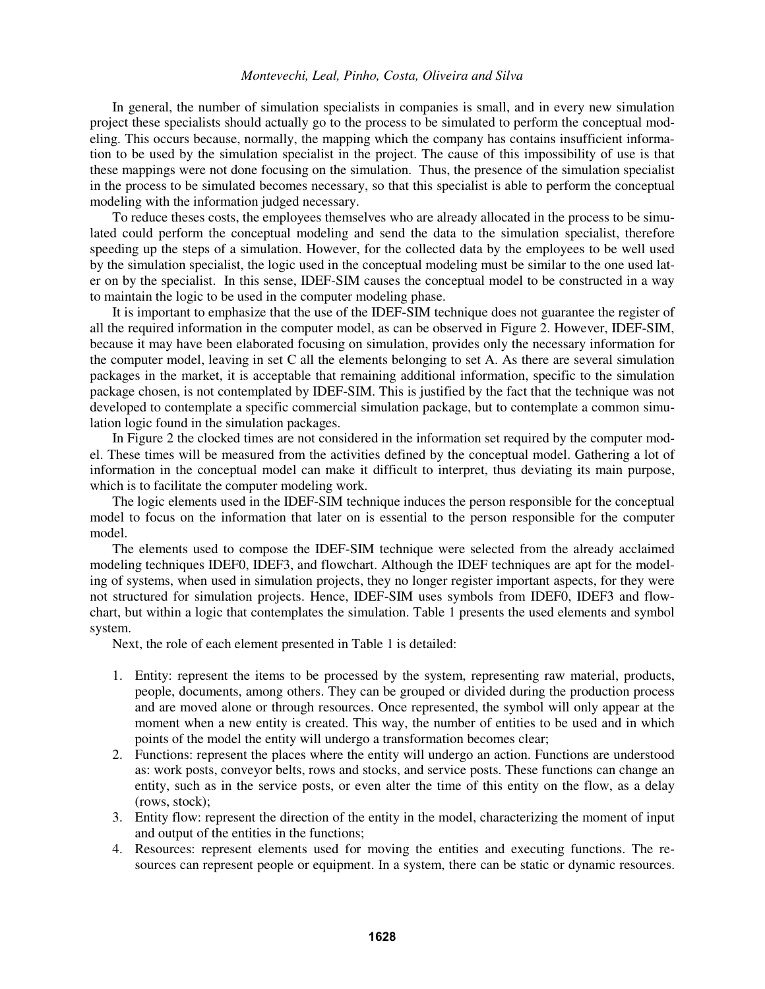### *Montevechi, Leal, Pinho, Costa, Oliveira and Silva*

In general, the number of simulation specialists in companies is small, and in every new simulation project these specialists should actually go to the process to be simulated to perform the conceptual modeling. This occurs because, normally, the mapping which the company has contains insufficient information to be used by the simulation specialist in the project. The cause of this impossibility of use is that these mappings were not done focusing on the simulation. Thus, the presence of the simulation specialist in the process to be simulated becomes necessary, so that this specialist is able to perform the conceptual modeling with the information judged necessary.

To reduce theses costs, the employees themselves who are already allocated in the process to be simulated could perform the conceptual modeling and send the data to the simulation specialist, therefore speeding up the steps of a simulation. However, for the collected data by the employees to be well used by the simulation specialist, the logic used in the conceptual modeling must be similar to the one used later on by the specialist. In this sense, IDEF-SIM causes the conceptual model to be constructed in a way to maintain the logic to be used in the computer modeling phase.

It is important to emphasize that the use of the IDEF-SIM technique does not guarantee the register of all the required information in the computer model, as can be observed in Figure 2. However, IDEF-SIM, because it may have been elaborated focusing on simulation, provides only the necessary information for the computer model, leaving in set C all the elements belonging to set A. As there are several simulation packages in the market, it is acceptable that remaining additional information, specific to the simulation package chosen, is not contemplated by IDEF-SIM. This is justified by the fact that the technique was not developed to contemplate a specific commercial simulation package, but to contemplate a common simulation logic found in the simulation packages.

In Figure 2 the clocked times are not considered in the information set required by the computer model. These times will be measured from the activities defined by the conceptual model. Gathering a lot of information in the conceptual model can make it difficult to interpret, thus deviating its main purpose, which is to facilitate the computer modeling work.

The logic elements used in the IDEF-SIM technique induces the person responsible for the conceptual model to focus on the information that later on is essential to the person responsible for the computer model.

The elements used to compose the IDEF-SIM technique were selected from the already acclaimed modeling techniques IDEF0, IDEF3, and flowchart. Although the IDEF techniques are apt for the modeling of systems, when used in simulation projects, they no longer register important aspects, for they were not structured for simulation projects. Hence, IDEF-SIM uses symbols from IDEF0, IDEF3 and flowchart, but within a logic that contemplates the simulation. Table 1 presents the used elements and symbol system.

Next, the role of each element presented in Table 1 is detailed:

- 1. Entity: represent the items to be processed by the system, representing raw material, products, people, documents, among others. They can be grouped or divided during the production process and are moved alone or through resources. Once represented, the symbol will only appear at the moment when a new entity is created. This way, the number of entities to be used and in which points of the model the entity will undergo a transformation becomes clear;
- 2. Functions: represent the places where the entity will undergo an action. Functions are understood as: work posts, conveyor belts, rows and stocks, and service posts. These functions can change an entity, such as in the service posts, or even alter the time of this entity on the flow, as a delay (rows, stock);
- 3. Entity flow: represent the direction of the entity in the model, characterizing the moment of input and output of the entities in the functions;
- 4. Resources: represent elements used for moving the entities and executing functions. The resources can represent people or equipment. In a system, there can be static or dynamic resources.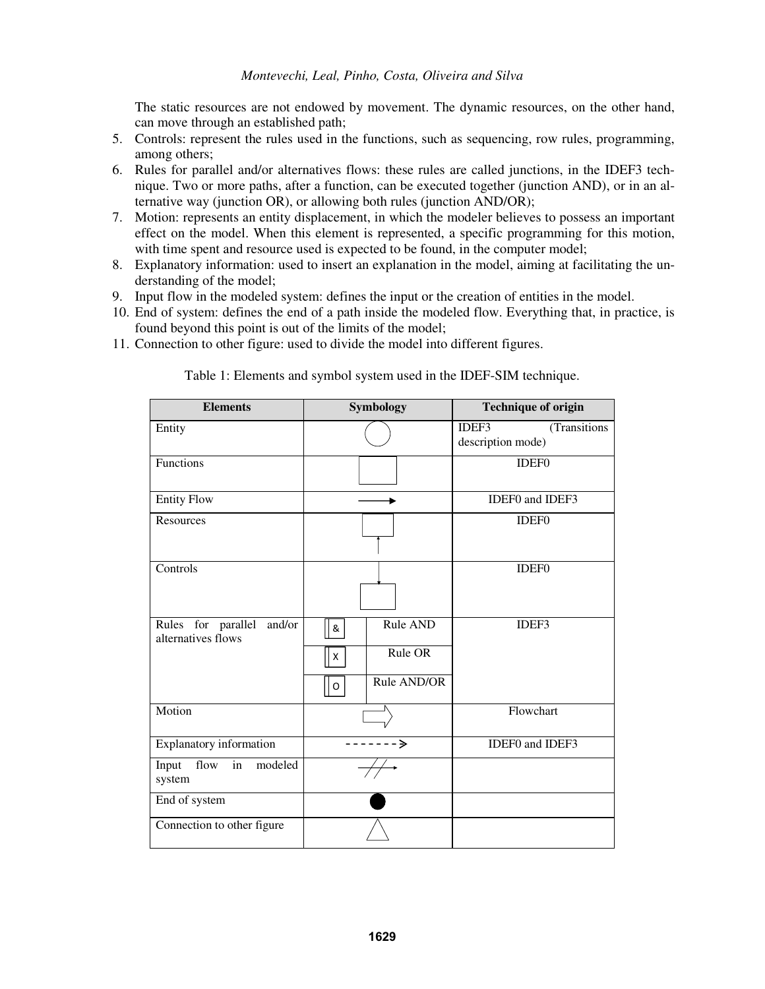The static resources are not endowed by movement. The dynamic resources, on the other hand, can move through an established path;

- 5. Controls: represent the rules used in the functions, such as sequencing, row rules, programming, among others;
- 6. Rules for parallel and/or alternatives flows: these rules are called junctions, in the IDEF3 technique. Two or more paths, after a function, can be executed together (junction AND), or in an alternative way (junction OR), or allowing both rules (junction AND/OR);
- 7. Motion: represents an entity displacement, in which the modeler believes to possess an important effect on the model. When this element is represented, a specific programming for this motion, with time spent and resource used is expected to be found, in the computer model;
- 8. Explanatory information: used to insert an explanation in the model, aiming at facilitating the understanding of the model;
- 9. Input flow in the modeled system: defines the input or the creation of entities in the model.
- 10. End of system: defines the end of a path inside the modeled flow. Everything that, in practice, is found beyond this point is out of the limits of the model;
- 11. Connection to other figure: used to divide the model into different figures.

| <b>Elements</b>                                    | Symbology        | <b>Technique of origin</b>                  |
|----------------------------------------------------|------------------|---------------------------------------------|
| Entity                                             |                  | (Transitions)<br>IDEF3<br>description mode) |
| <b>Functions</b>                                   |                  | <b>IDEF0</b>                                |
| <b>Entity Flow</b>                                 |                  | IDEF0 and IDEF3                             |
| Resources                                          |                  | IDEF <sub>0</sub>                           |
| Controls                                           |                  | <b>IDEF0</b>                                |
| Rules for parallel<br>and/or<br>alternatives flows | Rule AND<br>&    | IDEF3                                       |
|                                                    | Rule OR<br>X     |                                             |
|                                                    | Rule AND/OR<br>O |                                             |
| Motion                                             |                  | Flowchart                                   |
| Explanatory information                            | $\rightarrow$    | IDEF0 and IDEF3                             |
| flow<br>in<br>modeled<br>Input<br>system           |                  |                                             |
| End of system                                      |                  |                                             |
| Connection to other figure                         |                  |                                             |

Table 1: Elements and symbol system used in the IDEF-SIM technique.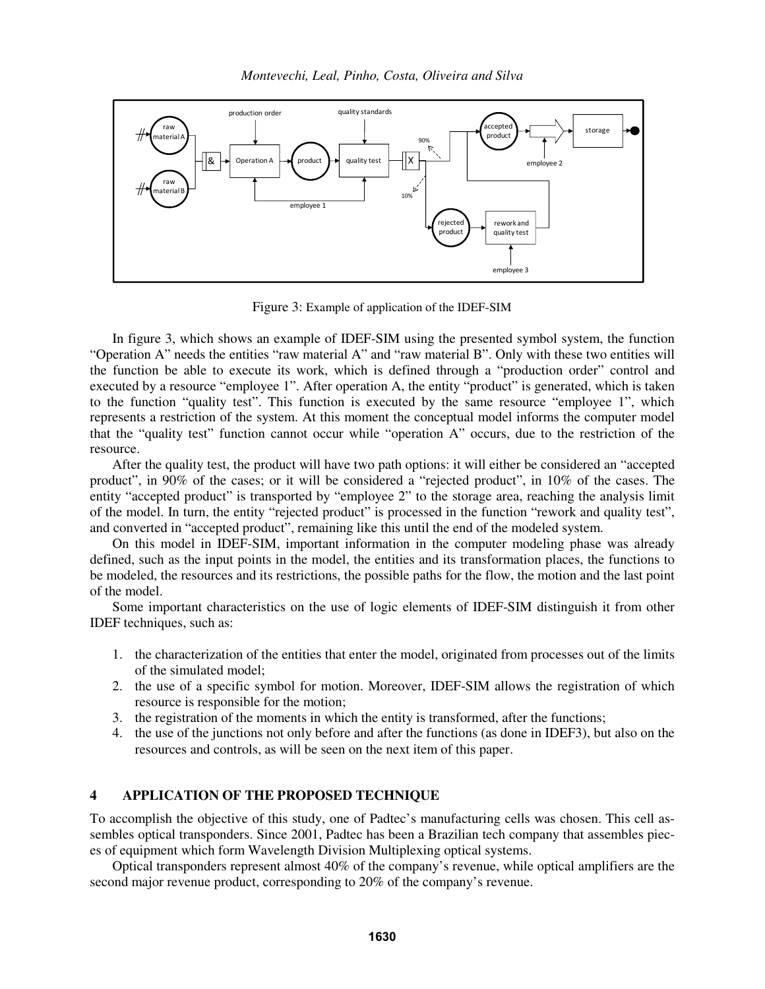

Figure 3: Example of application of the IDEF-SIM

In figure 3, which shows an example of IDEF-SIM using the presented symbol system, the function "Operation A" needs the entities "raw material A" and "raw material B". Only with these two entities will the function be able to execute its work, which is defined through a "production order" control and executed by a resource "employee 1". After operation A, the entity "product" is generated, which is taken to the function "quality test". This function is executed by the same resource "employee 1", which represents a restriction of the system. At this moment the conceptual model informs the computer model that the "quality test" function cannot occur while "operation A" occurs, due to the restriction of the resource.

After the quality test, the product will have two path options: it will either be considered an "accepted product", in 90% of the cases; or it will be considered a "rejected product", in 10% of the cases. The entity "accepted product" is transported by "employee 2" to the storage area, reaching the analysis limit of the model. In turn, the entity "rejected product" is processed in the function "rework and quality test", and converted in "accepted product", remaining like this until the end of the modeled system.

On this model in IDEF-SIM, important information in the computer modeling phase was already defined, such as the input points in the model, the entities and its transformation places, the functions to be modeled, the resources and its restrictions, the possible paths for the flow, the motion and the last point of the model.

Some important characteristics on the use of logic elements of IDEF-SIM distinguish it from other IDEF techniques, such as:

- 1. the characterization of the entities that enter the model, originated from processes out of the limits of the simulated model;
- 2. the use of a specific symbol for motion. Moreover, IDEF-SIM allows the registration of which resource is responsible for the motion;
- 3. the registration of the moments in which the entity is transformed, after the functions;
- 4. the use of the junctions not only before and after the functions (as done in IDEF3), but also on the resources and controls, as will be seen on the next item of this paper.

### **4 APPLICATION OF THE PROPOSED TECHNIQUE**

To accomplish the objective of this study, one of Padtec's manufacturing cells was chosen. This cell assembles optical transponders. Since 2001, Padtec has been a Brazilian tech company that assembles pieces of equipment which form Wavelength Division Multiplexing optical systems.

Optical transponders represent almost 40% of the company's revenue, while optical amplifiers are the second major revenue product, corresponding to 20% of the company's revenue.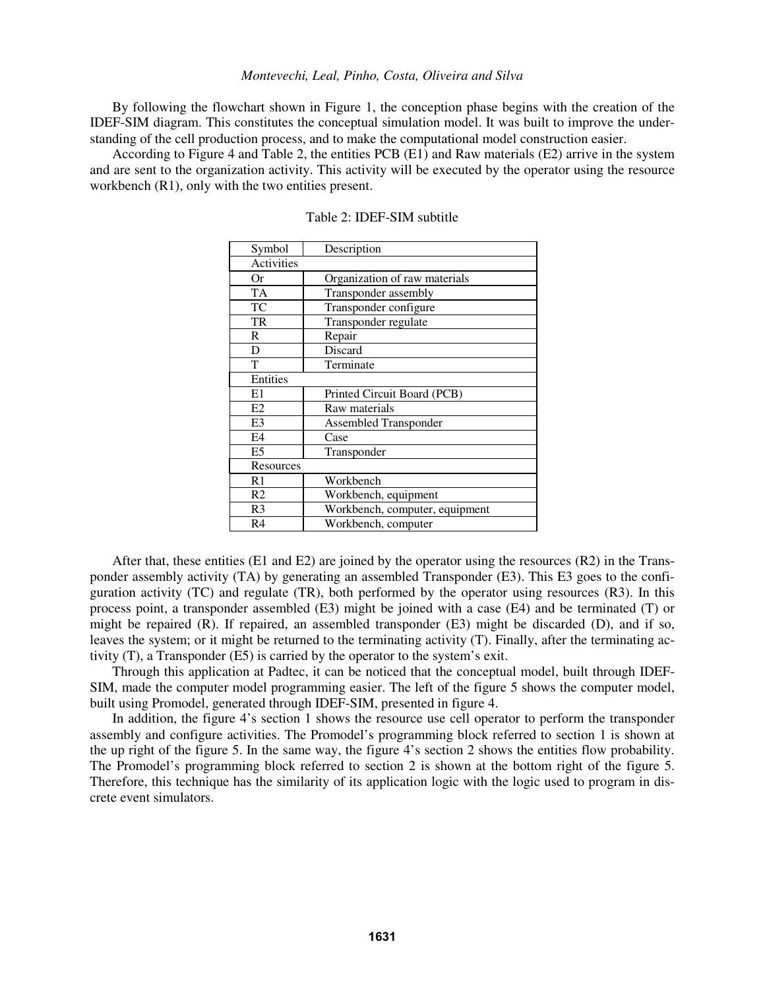#### *Montevechi, Leal, Pinho, Costa, Oliveira and Silva*

By following the flowchart shown in Figure 1, the conception phase begins with the creation of the IDEF-SIM diagram. This constitutes the conceptual simulation model. It was built to improve the understanding of the cell production process, and to make the computational model construction easier.

According to Figure 4 and Table 2, the entities PCB (E1) and Raw materials (E2) arrive in the system and are sent to the organization activity. This activity will be executed by the operator using the resource workbench  $(R1)$ , only with the two entities present.

| Symbol            | Description                    |  |
|-------------------|--------------------------------|--|
| <b>Activities</b> |                                |  |
| <b>Or</b>         | Organization of raw materials  |  |
| TA                | Transponder assembly           |  |
| TC                | Transponder configure          |  |
| TR                | Transponder regulate           |  |
| R                 | Repair                         |  |
| D                 | Discard                        |  |
| T                 | Terminate                      |  |
| Entities          |                                |  |
| E1                | Printed Circuit Board (PCB)    |  |
| E2                | Raw materials                  |  |
| E <sub>3</sub>    | <b>Assembled Transponder</b>   |  |
| E <sub>4</sub>    | Case                           |  |
| E <sub>5</sub>    | Transponder                    |  |
| Resources         |                                |  |
| R1                | Workbench                      |  |
| R <sub>2</sub>    | Workbench, equipment           |  |
| R <sub>3</sub>    | Workbench, computer, equipment |  |
| R <sub>4</sub>    | Workbench, computer            |  |

#### Table 2: IDEF-SIM subtitle

After that, these entities (E1 and E2) are joined by the operator using the resources (R2) in the Transponder assembly activity (TA) by generating an assembled Transponder (E3). This E3 goes to the configuration activity (TC) and regulate (TR), both performed by the operator using resources (R3). In this process point, a transponder assembled (E3) might be joined with a case (E4) and be terminated (T) or might be repaired (R). If repaired, an assembled transponder (E3) might be discarded (D), and if so, leaves the system; or it might be returned to the terminating activity (T). Finally, after the terminating activity (T), a Transponder (E5) is carried by the operator to the system's exit.

Through this application at Padtec, it can be noticed that the conceptual model, built through IDEF-SIM, made the computer model programming easier. The left of the figure 5 shows the computer model, built using Promodel, generated through IDEF-SIM, presented in figure 4.

In addition, the figure 4's section 1 shows the resource use cell operator to perform the transponder assembly and configure activities. The Promodel's programming block referred to section 1 is shown at the up right of the figure 5. In the same way, the figure 4's section 2 shows the entities flow probability. The Promodel's programming block referred to section 2 is shown at the bottom right of the figure 5. Therefore, this technique has the similarity of its application logic with the logic used to program in discrete event simulators.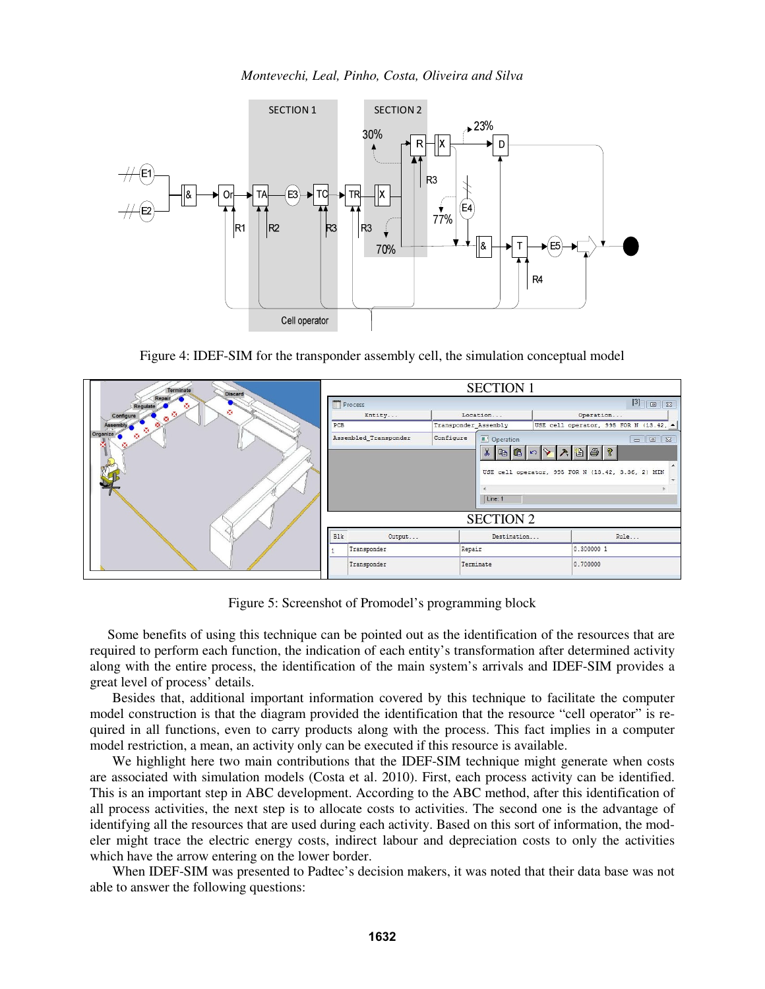



Figure 4: IDEF-SIM for the transponder assembly cell, the simulation conceptual model



Figure 5: Screenshot of Promodel's programming block

Some benefits of using this technique can be pointed out as the identification of the resources that are required to perform each function, the indication of each entity's transformation after determined activity along with the entire process, the identification of the main system's arrivals and IDEF-SIM provides a great level of process' details.

Besides that, additional important information covered by this technique to facilitate the computer model construction is that the diagram provided the identification that the resource "cell operator" is required in all functions, even to carry products along with the process. This fact implies in a computer model restriction, a mean, an activity only can be executed if this resource is available.

We highlight here two main contributions that the IDEF-SIM technique might generate when costs are associated with simulation models (Costa et al. 2010). First, each process activity can be identified. This is an important step in ABC development. According to the ABC method, after this identification of all process activities, the next step is to allocate costs to activities. The second one is the advantage of identifying all the resources that are used during each activity. Based on this sort of information, the modeler might trace the electric energy costs, indirect labour and depreciation costs to only the activities which have the arrow entering on the lower border.

When IDEF-SIM was presented to Padtec's decision makers, it was noted that their data base was not able to answer the following questions: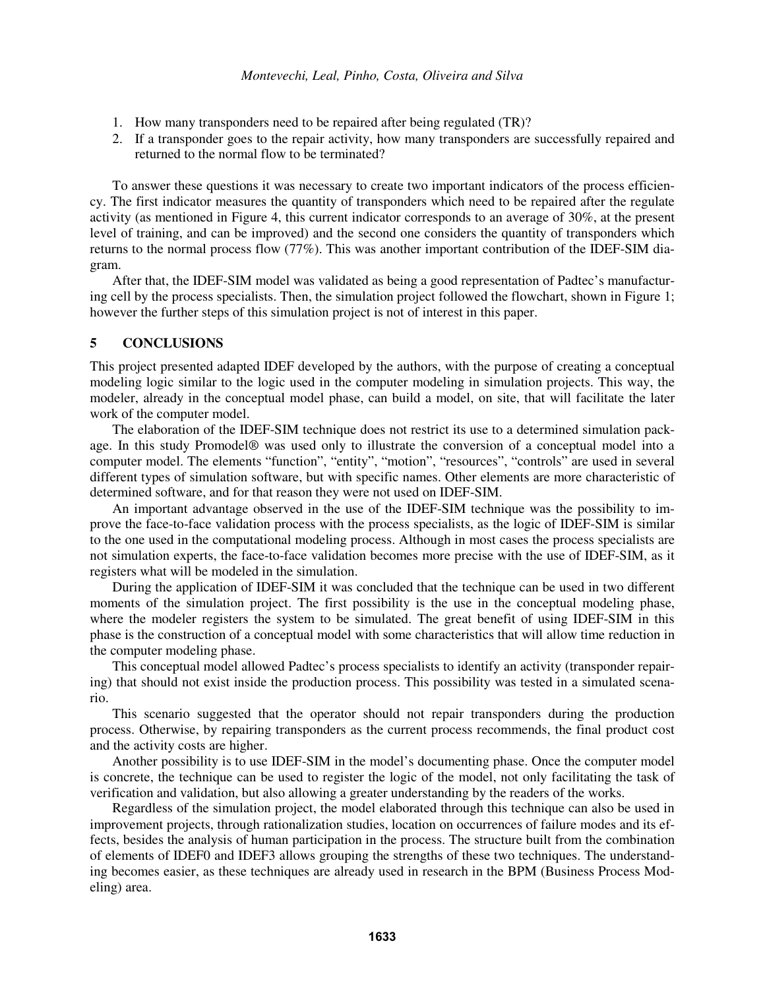- 1. How many transponders need to be repaired after being regulated (TR)?
- 2. If a transponder goes to the repair activity, how many transponders are successfully repaired and returned to the normal flow to be terminated?

To answer these questions it was necessary to create two important indicators of the process efficiency. The first indicator measures the quantity of transponders which need to be repaired after the regulate activity (as mentioned in Figure 4, this current indicator corresponds to an average of 30%, at the present level of training, and can be improved) and the second one considers the quantity of transponders which returns to the normal process flow (77%). This was another important contribution of the IDEF-SIM diagram.

After that, the IDEF-SIM model was validated as being a good representation of Padtec's manufacturing cell by the process specialists. Then, the simulation project followed the flowchart, shown in Figure 1; however the further steps of this simulation project is not of interest in this paper.

### **5 CONCLUSIONS**

This project presented adapted IDEF developed by the authors, with the purpose of creating a conceptual modeling logic similar to the logic used in the computer modeling in simulation projects. This way, the modeler, already in the conceptual model phase, can build a model, on site, that will facilitate the later work of the computer model.

The elaboration of the IDEF-SIM technique does not restrict its use to a determined simulation package. In this study Promodel® was used only to illustrate the conversion of a conceptual model into a computer model. The elements "function", "entity", "motion", "resources", "controls" are used in several different types of simulation software, but with specific names. Other elements are more characteristic of determined software, and for that reason they were not used on IDEF-SIM.

An important advantage observed in the use of the IDEF-SIM technique was the possibility to improve the face-to-face validation process with the process specialists, as the logic of IDEF-SIM is similar to the one used in the computational modeling process. Although in most cases the process specialists are not simulation experts, the face-to-face validation becomes more precise with the use of IDEF-SIM, as it registers what will be modeled in the simulation.

During the application of IDEF-SIM it was concluded that the technique can be used in two different moments of the simulation project. The first possibility is the use in the conceptual modeling phase, where the modeler registers the system to be simulated. The great benefit of using IDEF-SIM in this phase is the construction of a conceptual model with some characteristics that will allow time reduction in the computer modeling phase.

This conceptual model allowed Padtec's process specialists to identify an activity (transponder repairing) that should not exist inside the production process. This possibility was tested in a simulated scenario.

This scenario suggested that the operator should not repair transponders during the production process. Otherwise, by repairing transponders as the current process recommends, the final product cost and the activity costs are higher.

Another possibility is to use IDEF-SIM in the model's documenting phase. Once the computer model is concrete, the technique can be used to register the logic of the model, not only facilitating the task of verification and validation, but also allowing a greater understanding by the readers of the works.

Regardless of the simulation project, the model elaborated through this technique can also be used in improvement projects, through rationalization studies, location on occurrences of failure modes and its effects, besides the analysis of human participation in the process. The structure built from the combination of elements of IDEF0 and IDEF3 allows grouping the strengths of these two techniques. The understanding becomes easier, as these techniques are already used in research in the BPM (Business Process Modeling) area.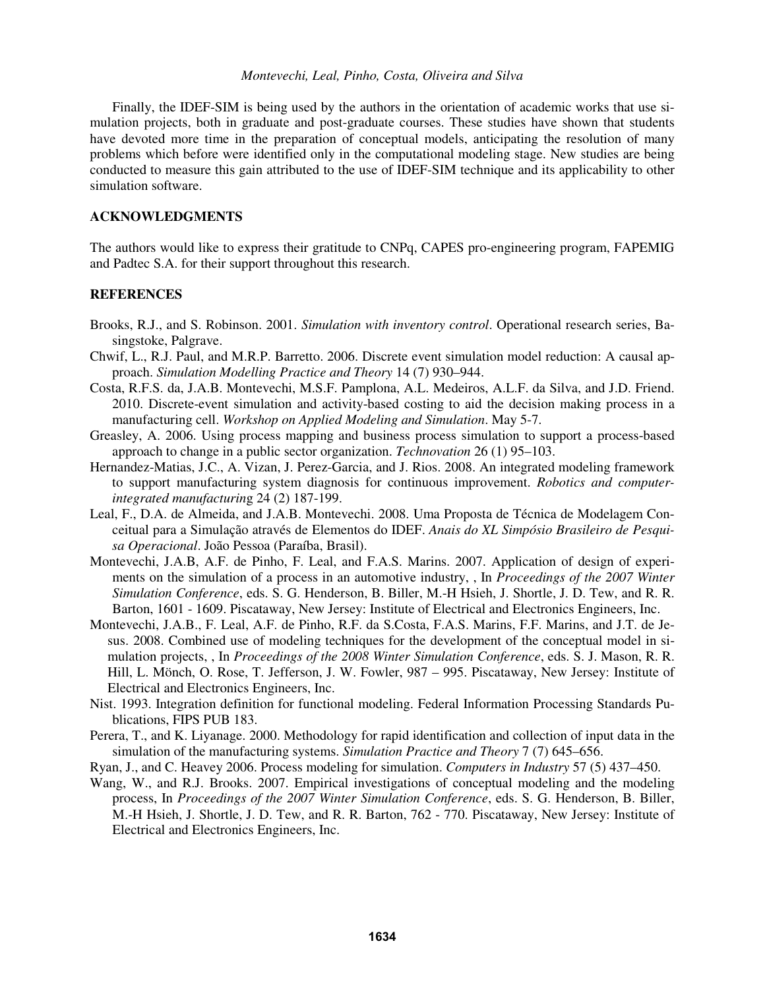#### *Montevechi, Leal, Pinho, Costa, Oliveira and Silva*

Finally, the IDEF-SIM is being used by the authors in the orientation of academic works that use simulation projects, both in graduate and post-graduate courses. These studies have shown that students have devoted more time in the preparation of conceptual models, anticipating the resolution of many problems which before were identified only in the computational modeling stage. New studies are being conducted to measure this gain attributed to the use of IDEF-SIM technique and its applicability to other simulation software.

### **ACKNOWLEDGMENTS**

The authors would like to express their gratitude to CNPq, CAPES pro-engineering program, FAPEMIG and Padtec S.A. for their support throughout this research.

#### **REFERENCES**

- Brooks, R.J., and S. Robinson. 2001. *Simulation with inventory control*. Operational research series, Basingstoke, Palgrave.
- Chwif, L., R.J. Paul, and M.R.P. Barretto. 2006. Discrete event simulation model reduction: A causal approach. *Simulation Modelling Practice and Theory* 14 (7) 930–944.
- Costa, R.F.S. da, J.A.B. Montevechi, M.S.F. Pamplona, A.L. Medeiros, A.L.F. da Silva, and J.D. Friend. 2010. Discrete-event simulation and activity-based costing to aid the decision making process in a manufacturing cell. *Workshop on Applied Modeling and Simulation*. May 5-7.
- Greasley, A. 2006. Using process mapping and business process simulation to support a process-based approach to change in a public sector organization. *Technovation* 26 (1) 95–103.
- Hernandez-Matias, J.C., A. Vizan, J. Perez-Garcia, and J. Rios. 2008. An integrated modeling framework to support manufacturing system diagnosis for continuous improvement. *Robotics and computerintegrated manufacturin*g 24 (2) 187-199.
- Leal, F., D.A. de Almeida, and J.A.B. Montevechi. 2008. Uma Proposta de Técnica de Modelagem Conceitual para a Simulação através de Elementos do IDEF. *Anais do XL Simpósio Brasileiro de Pesquisa Operacional*. João Pessoa (Paraíba, Brasil).
- Montevechi, J.A.B, A.F. de Pinho, F. Leal, and F.A.S. Marins. 2007. Application of design of experiments on the simulation of a process in an automotive industry, , In *Proceedings of the 2007 Winter Simulation Conference*, eds. S. G. Henderson, B. Biller, M.-H Hsieh, J. Shortle, J. D. Tew, and R. R. Barton, 1601 - 1609. Piscataway, New Jersey: Institute of Electrical and Electronics Engineers, Inc.
- Montevechi, J.A.B., F. Leal, A.F. de Pinho, R.F. da S.Costa, F.A.S. Marins, F.F. Marins, and J.T. de Jesus. 2008. Combined use of modeling techniques for the development of the conceptual model in simulation projects, , In *Proceedings of the 2008 Winter Simulation Conference*, eds. S. J. Mason, R. R. Hill, L. Mönch, O. Rose, T. Jefferson, J. W. Fowler, 987 – 995. Piscataway, New Jersey: Institute of Electrical and Electronics Engineers, Inc.
- Nist. 1993. Integration definition for functional modeling. Federal Information Processing Standards Publications, FIPS PUB 183.
- Perera, T., and K. Liyanage. 2000. Methodology for rapid identification and collection of input data in the simulation of the manufacturing systems. *Simulation Practice and Theory* 7 (7) 645–656.
- Ryan, J., and C. Heavey 2006. Process modeling for simulation. *Computers in Industry* 57 (5) 437–450.
- Wang, W., and R.J. Brooks. 2007. Empirical investigations of conceptual modeling and the modeling process, In *Proceedings of the 2007 Winter Simulation Conference*, eds. S. G. Henderson, B. Biller, M.-H Hsieh, J. Shortle, J. D. Tew, and R. R. Barton, 762 - 770. Piscataway, New Jersey: Institute of Electrical and Electronics Engineers, Inc.